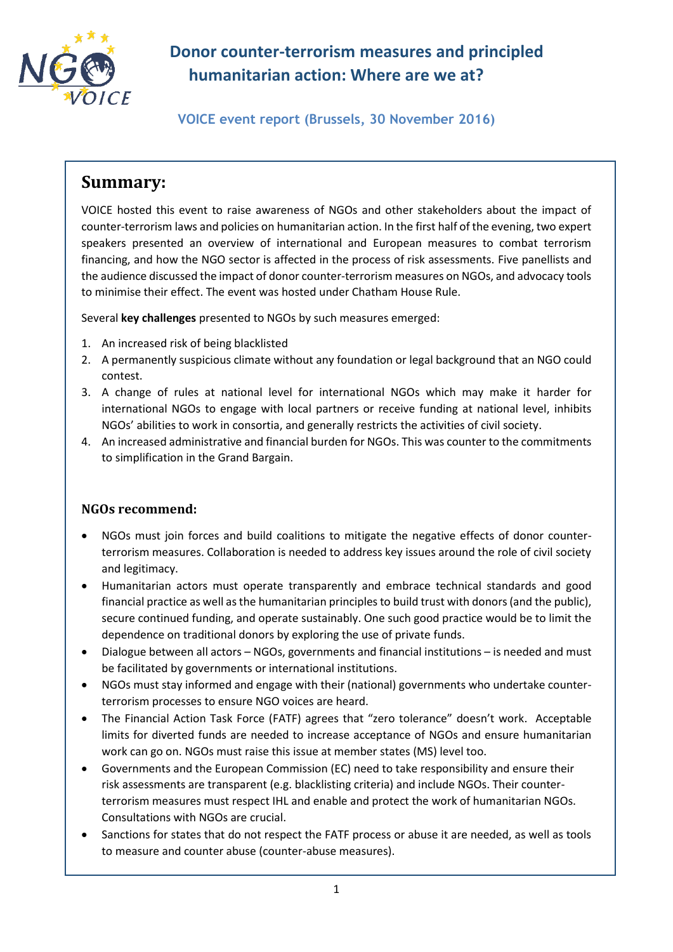

# **Donor counter-terrorism measures and principled humanitarian action: Where are we at?**

**VOICE event report (Brussels, 30 November 2016)**

## **Summary:**

VOICE hosted this event to raise awareness of NGOs and other stakeholders about the impact of counter-terrorism laws and policies on humanitarian action. In the first half of the evening, two expert speakers presented an overview of international and European measures to combat terrorism financing, and how the NGO sector is affected in the process of risk assessments. Five panellists and the audience discussed the impact of donor counter-terrorism measures on NGOs, and advocacy tools to minimise their effect. The event was hosted under Chatham House Rule.

Several **key challenges** presented to NGOs by such measures emerged:

- 1. An increased risk of being blacklisted
- 2. A permanently suspicious climate without any foundation or legal background that an NGO could contest.
- 3. A change of rules at national level for international NGOs which may make it harder for international NGOs to engage with local partners or receive funding at national level, inhibits NGOs' abilities to work in consortia, and generally restricts the activities of civil society.
- 4. An increased administrative and financial burden for NGOs. This was counter to the commitments to simplification in the Grand Bargain.

## **NGOs recommend:**

- NGOs must join forces and build coalitions to mitigate the negative effects of donor counterterrorism measures. Collaboration is needed to address key issues around the role of civil society and legitimacy.
- Humanitarian actors must operate transparently and embrace technical standards and good financial practice as well as the humanitarian principles to build trust with donors (and the public), secure continued funding, and operate sustainably. One such good practice would be to limit the dependence on traditional donors by exploring the use of private funds.
- Dialogue between all actors NGOs, governments and financial institutions is needed and must be facilitated by governments or international institutions.
- NGOs must stay informed and engage with their (national) governments who undertake counterterrorism processes to ensure NGO voices are heard.
- The Financial Action Task Force (FATF) agrees that "zero tolerance" doesn't work. Acceptable limits for diverted funds are needed to increase acceptance of NGOs and ensure humanitarian work can go on. NGOs must raise this issue at member states (MS) level too.
- Governments and the European Commission (EC) need to take responsibility and ensure their risk assessments are transparent (e.g. blacklisting criteria) and include NGOs. Their counterterrorism measures must respect IHL and enable and protect the work of humanitarian NGOs. Consultations with NGOs are crucial.
- Sanctions for states that do not respect the FATF process or abuse it are needed, as well as tools to measure and counter abuse (counter-abuse measures).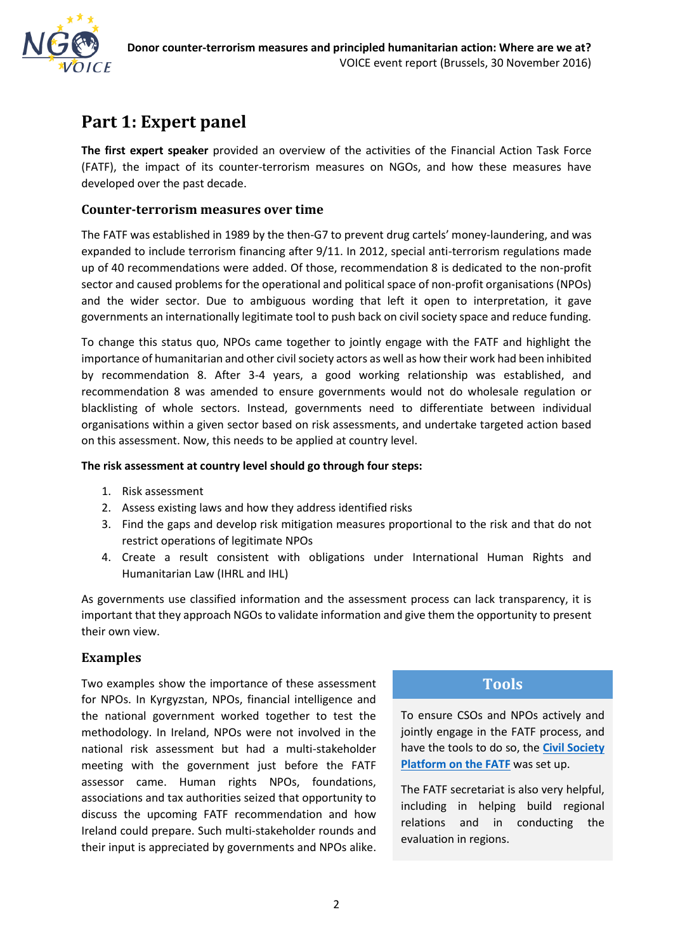

## **Part 1: Expert panel**

**The first expert speaker** provided an overview of the activities of the Financial Action Task Force (FATF), the impact of its counter-terrorism measures on NGOs, and how these measures have developed over the past decade.

### **Counter-terrorism measures over time**

The FATF was established in 1989 by the then-G7 to prevent drug cartels' money-laundering, and was expanded to include terrorism financing after 9/11. In 2012, special anti-terrorism regulations made up of 40 recommendations were added. Of those, recommendation 8 is dedicated to the non-profit sector and caused problems for the operational and political space of non-profit organisations (NPOs) and the wider sector. Due to ambiguous wording that left it open to interpretation, it gave governments an internationally legitimate tool to push back on civil society space and reduce funding.

To change this status quo, NPOs came together to jointly engage with the FATF and highlight the importance of humanitarian and other civil society actors as well as how their work had been inhibited by recommendation 8. After 3-4 years, a good working relationship was established, and recommendation 8 was amended to ensure governments would not do wholesale regulation or blacklisting of whole sectors. Instead, governments need to differentiate between individual organisations within a given sector based on risk assessments, and undertake targeted action based on this assessment. Now, this needs to be applied at country level.

#### **The risk assessment at country level should go through four steps:**

- 1. Risk assessment
- 2. Assess existing laws and how they address identified risks
- 3. Find the gaps and develop risk mitigation measures proportional to the risk and that do not restrict operations of legitimate NPOs
- 4. Create a result consistent with obligations under International Human Rights and Humanitarian Law (IHRL and IHL)

As governments use classified information and the assessment process can lack transparency, it is important that they approach NGOs to validate information and give them the opportunity to present their own view.

### **Examples**

Two examples show the importance of these assessment for NPOs. In Kyrgyzstan, NPOs, financial intelligence and the national government worked together to test the methodology. In Ireland, NPOs were not involved in the national risk assessment but had a multi-stakeholder meeting with the government just before the FATF assessor came. Human rights NPOs, foundations, associations and tax authorities seized that opportunity to discuss the upcoming FATF recommendation and how Ireland could prepare. Such multi-stakeholder rounds and their input is appreciated by governments and NPOs alike.

## **Tools**

To ensure CSOs and NPOs actively and jointly engage in the FATF process, and have the tools to do so, the **[Civil Society](file://///VOICEDC/Public/ECHO/ECHO%20Project%202016/2.%20Activities/Events/CT%20event%20Nov%202016/Notes%20+%20report/Fatfplatform.org)  [Platform on the FATF](file://///VOICEDC/Public/ECHO/ECHO%20Project%202016/2.%20Activities/Events/CT%20event%20Nov%202016/Notes%20+%20report/Fatfplatform.org)** was set up.

The FATF secretariat is also very helpful, including in helping build regional relations and in conducting the evaluation in regions.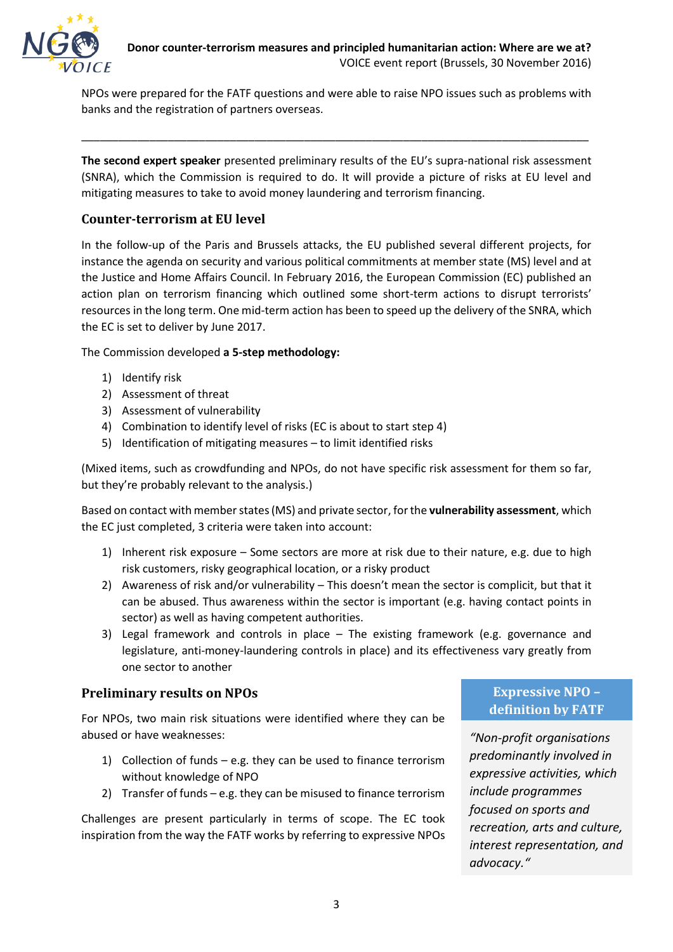NPOs were prepared for the FATF questions and were able to raise NPO issues such as problems with banks and the registration of partners overseas.

\_\_\_\_\_\_\_\_\_\_\_\_\_\_\_\_\_\_\_\_\_\_\_\_\_\_\_\_\_\_\_\_\_\_\_\_\_\_\_\_\_\_\_\_\_\_\_\_\_\_\_\_\_\_\_\_\_\_\_\_\_\_\_\_\_\_\_\_\_\_\_\_\_\_\_\_\_\_\_\_\_\_

**The second expert speaker** presented preliminary results of the EU's supra-national risk assessment (SNRA), which the Commission is required to do. It will provide a picture of risks at EU level and mitigating measures to take to avoid money laundering and terrorism financing.

### **Counter-terrorism at EU level**

In the follow-up of the Paris and Brussels attacks, the EU published several different projects, for instance the agenda on security and various political commitments at member state (MS) level and at the Justice and Home Affairs Council. In February 2016, the European Commission (EC) published an action plan on terrorism financing which outlined some short-term actions to disrupt terrorists' resources in the long term. One mid-term action has been to speed up the delivery of the SNRA, which the EC is set to deliver by June 2017.

The Commission developed **a 5-step methodology:**

- 1) Identify risk
- 2) Assessment of threat
- 3) Assessment of vulnerability
- 4) Combination to identify level of risks (EC is about to start step 4)
- 5) Identification of mitigating measures to limit identified risks

(Mixed items, such as crowdfunding and NPOs, do not have specific risk assessment for them so far, but they're probably relevant to the analysis.)

Based on contact with member states (MS) and private sector, for the **vulnerability assessment**, which the EC just completed, 3 criteria were taken into account:

- 1) Inherent risk exposure Some sectors are more at risk due to their nature, e.g. due to high risk customers, risky geographical location, or a risky product
- 2) Awareness of risk and/or vulnerability This doesn't mean the sector is complicit, but that it can be abused. Thus awareness within the sector is important (e.g. having contact points in sector) as well as having competent authorities.
- 3) Legal framework and controls in place The existing framework (e.g. governance and legislature, anti-money-laundering controls in place) and its effectiveness vary greatly from one sector to another

### **Preliminary results on NPOs**

For NPOs, two main risk situations were identified where they can be abused or have weaknesses:

- 1) Collection of funds e.g. they can be used to finance terrorism without knowledge of NPO
- 2) Transfer of funds e.g. they can be misused to finance terrorism

Challenges are present particularly in terms of scope. The EC took inspiration from the way the FATF works by referring to expressive NPOs

## **Expressive NPO – definition by FATF**

*"Non-profit organisations predominantly involved in expressive activities, which include programmes focused on sports and recreation, arts and culture, interest representation, and advocacy."*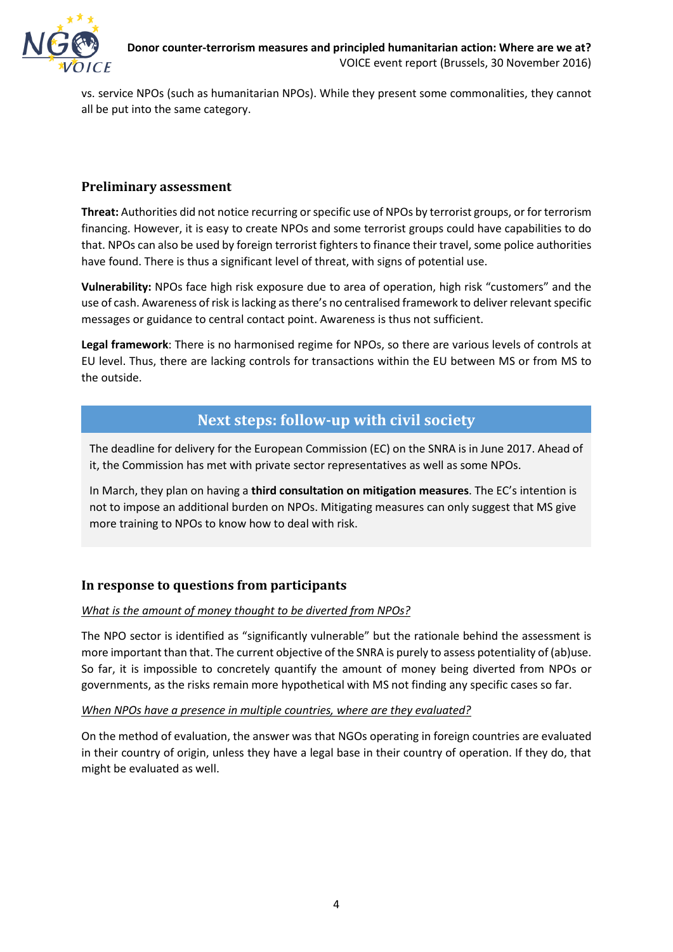

vs. service NPOs (such as humanitarian NPOs). While they present some commonalities, they cannot all be put into the same category.

### **Preliminary assessment**

**Threat:** Authorities did not notice recurring or specific use of NPOs by terrorist groups, or for terrorism financing. However, it is easy to create NPOs and some terrorist groups could have capabilities to do that. NPOs can also be used by foreign terrorist fighters to finance their travel, some police authorities have found. There is thus a significant level of threat, with signs of potential use.

**Vulnerability:** NPOs face high risk exposure due to area of operation, high risk "customers" and the use of cash. Awareness of risk is lacking as there's no centralised framework to deliver relevant specific messages or guidance to central contact point. Awareness is thus not sufficient.

**Legal framework**: There is no harmonised regime for NPOs, so there are various levels of controls at EU level. Thus, there are lacking controls for transactions within the EU between MS or from MS to the outside.

## **Next steps: follow-up with civil society**

The deadline for delivery for the European Commission (EC) on the SNRA is in June 2017. Ahead of it, the Commission has met with private sector representatives as well as some NPOs.

In March, they plan on having a **third consultation on mitigation measures**. The EC's intention is not to impose an additional burden on NPOs. Mitigating measures can only suggest that MS give more training to NPOs to know how to deal with risk.

### **In response to questions from participants**

#### *What is the amount of money thought to be diverted from NPOs?*

The NPO sector is identified as "significantly vulnerable" but the rationale behind the assessment is more important than that. The current objective of the SNRA is purely to assess potentiality of (ab)use. So far, it is impossible to concretely quantify the amount of money being diverted from NPOs or governments, as the risks remain more hypothetical with MS not finding any specific cases so far.

#### *When NPOs have a presence in multiple countries, where are they evaluated?*

On the method of evaluation, the answer was that NGOs operating in foreign countries are evaluated in their country of origin, unless they have a legal base in their country of operation. If they do, that might be evaluated as well.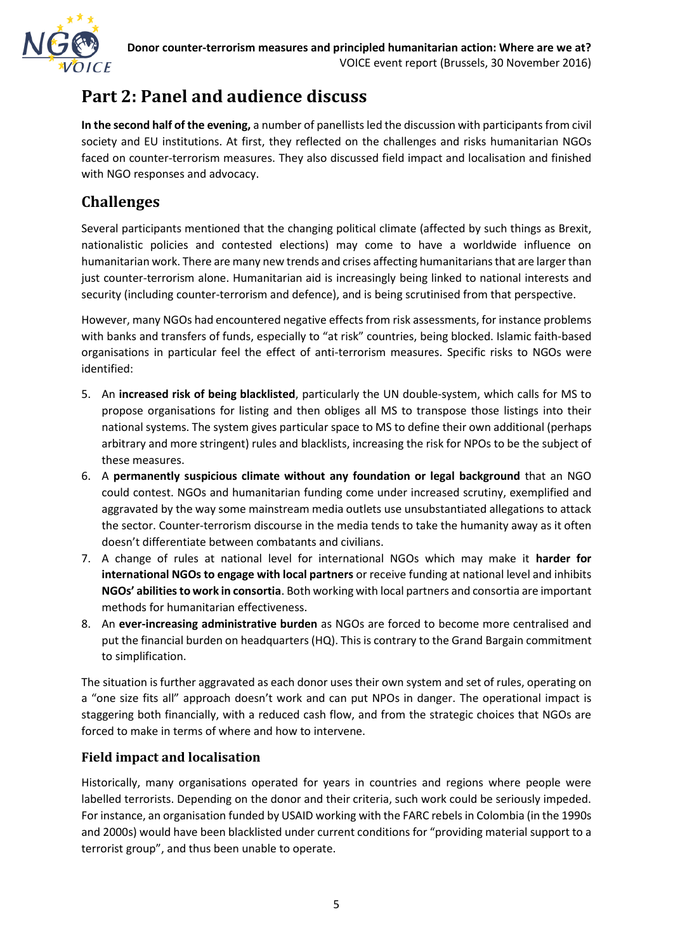

# **Part 2: Panel and audience discuss**

**In the second half of the evening,** a number of panellists led the discussion with participants from civil society and EU institutions. At first, they reflected on the challenges and risks humanitarian NGOs faced on counter-terrorism measures. They also discussed field impact and localisation and finished with NGO responses and advocacy.

## **Challenges**

Several participants mentioned that the changing political climate (affected by such things as Brexit, nationalistic policies and contested elections) may come to have a worldwide influence on humanitarian work. There are many new trends and crises affecting humanitarians that are larger than just counter-terrorism alone. Humanitarian aid is increasingly being linked to national interests and security (including counter-terrorism and defence), and is being scrutinised from that perspective.

However, many NGOs had encountered negative effects from risk assessments, for instance problems with banks and transfers of funds, especially to "at risk" countries, being blocked. Islamic faith-based organisations in particular feel the effect of anti-terrorism measures. Specific risks to NGOs were identified:

- 5. An **increased risk of being blacklisted**, particularly the UN double-system, which calls for MS to propose organisations for listing and then obliges all MS to transpose those listings into their national systems. The system gives particular space to MS to define their own additional (perhaps arbitrary and more stringent) rules and blacklists, increasing the risk for NPOs to be the subject of these measures.
- 6. A **permanently suspicious climate without any foundation or legal background** that an NGO could contest. NGOs and humanitarian funding come under increased scrutiny, exemplified and aggravated by the way some mainstream media outlets use unsubstantiated allegations to attack the sector. Counter-terrorism discourse in the media tends to take the humanity away as it often doesn't differentiate between combatants and civilians.
- 7. A change of rules at national level for international NGOs which may make it **harder for international NGOs to engage with local partners** or receive funding at national level and inhibits **NGOs' abilities to work in consortia**. Both working with local partners and consortia are important methods for humanitarian effectiveness.
- 8. An **ever-increasing administrative burden** as NGOs are forced to become more centralised and put the financial burden on headquarters (HQ). This is contrary to the Grand Bargain commitment to simplification.

The situation is further aggravated as each donor uses their own system and set of rules, operating on a "one size fits all" approach doesn't work and can put NPOs in danger. The operational impact is staggering both financially, with a reduced cash flow, and from the strategic choices that NGOs are forced to make in terms of where and how to intervene.

### **Field impact and localisation**

Historically, many organisations operated for years in countries and regions where people were labelled terrorists. Depending on the donor and their criteria, such work could be seriously impeded. For instance, an organisation funded by USAID working with the FARC rebels in Colombia (in the 1990s and 2000s) would have been blacklisted under current conditions for "providing material support to a terrorist group", and thus been unable to operate.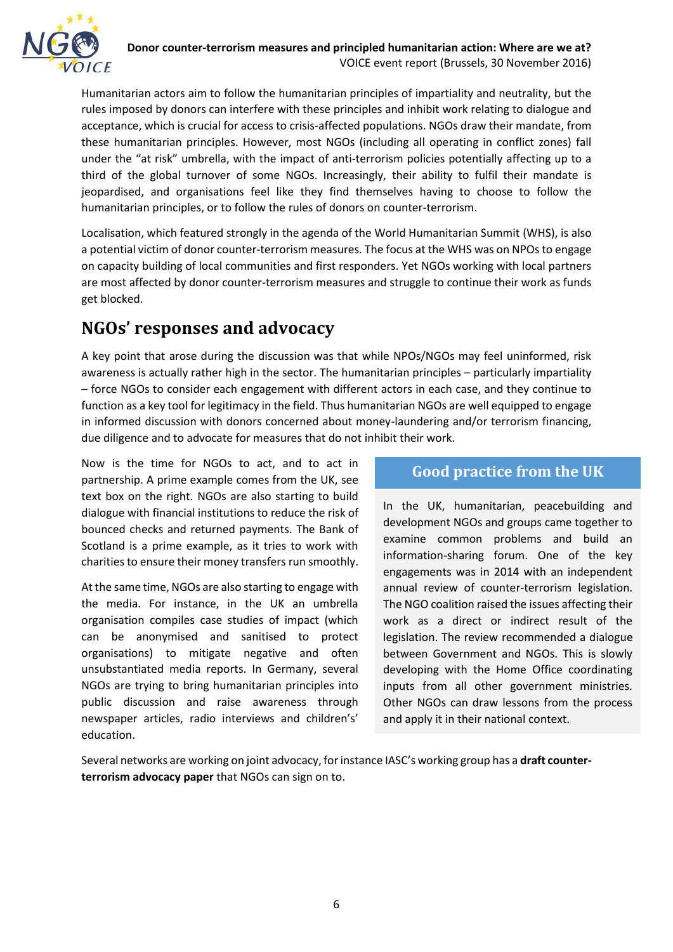

Humanitarian actors aim to follow the humanitarian principles of impartiality and neutrality, but the rules imposed by donors can interfere with these principles and inhibit work relating to dialogue and acceptance, which is crucial for access to crisis-affected populations. NGOs draw their mandate, from these humanitarian principles. However, most NGOs (including all operating in conflict zones) fall under the "at risk" umbrella, with the impact of anti-terrorism policies potentially affecting up to a third of the global turnover of some NGOs. Increasingly, their ability to fulfil their mandate is jeopardised, and organisations feel like they find themselves having to choose to follow the humanitarian principles, or to follow the rules of donors on counter-terrorism.

Localisation, which featured strongly in the agenda of the World Humanitarian Summit (WHS), is also a potential victim of donor counter-terrorism measures. The focus at the WHS was on NPOs to engage on capacity building of local communities and first responders. Yet NGOs working with local partners are most affected by donor counter-terrorism measures and struggle to continue their work as funds get blocked.

## **NGOs' responses and advocacy**

A key point that arose during the discussion was that while NPOs/NGOs may feel uninformed, risk awareness is actually rather high in the sector. The humanitarian principles – particularly impartiality – force NGOs to consider each engagement with different actors in each case, and they continue to function as a key tool for legitimacy in the field. Thus humanitarian NGOs are well equipped to engage in informed discussion with donors concerned about money-laundering and/or terrorism financing, due diligence and to advocate for measures that do not inhibit their work.

Now is the time for NGOs to act, and to act in partnership. A prime example comes from the UK, see text box on the right. NGOs are also starting to build dialogue with financial institutions to reduce the risk of bounced checks and returned payments. The Bank of Scotland is a prime example, as it tries to work with charities to ensure their money transfers run smoothly.

At the same time, NGOs are also starting to engage with the media. For instance, in the UK an umbrella organisation compiles case studies of impact (which can be anonymised and sanitised to protect organisations) to mitigate negative and often unsubstantiated media reports. In Germany, several NGOs are trying to bring humanitarian principles into public discussion and raise awareness through newspaper articles, radio interviews and children's' education.

## **Good practice from the UK**

In the UK, humanitarian, peacebuilding and development NGOs and groups came together to examine common problems and build an information-sharing forum. One of the key engagements was in 2014 with an independent annual review of counter-terrorism legislation. The NGO coalition raised the issues affecting their work as a direct or indirect result of the legislation. The review recommended a dialogue between Government and NGOs. This is slowly developing with the Home Office coordinating inputs from all other government ministries. Other NGOs can draw lessons from the process and apply it in their national context.

Several networks are working on joint advocacy, for instance IASC's working group has a **draft counterterrorism advocacy paper** that NGOs can sign on to.